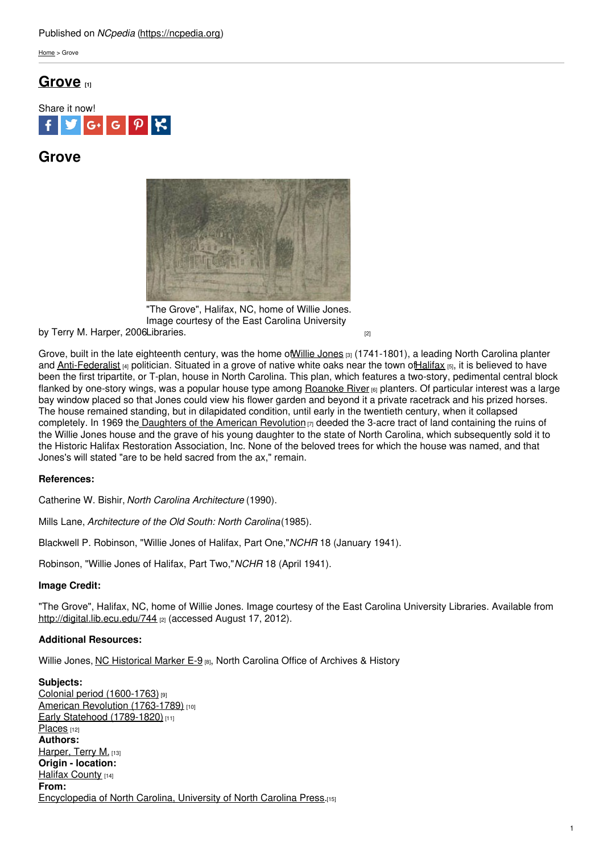# Published on *NCpedia* [\(https://ncpedia.org](https://ncpedia.org))

[Home](https://ncpedia.org/) > Grove

# **[Grove](https://ncpedia.org/grove) [1]**



# **Grove**



"The Grove", Halifax, NC, home of Willie Jones. Image courtesy of the East Carolina University

by Terry M. Harper, 2006[Libraries.](http://digital.lib.ecu.edu/744) The contract of the contract of the contract of the contract of the contract of the contract of the contract of the contract of the contract of the contract of the contract of the contrac

Grove, built in the late eighteenth century, was the home of Willie [Jones](https://ncpedia.org/biography/jones-willie) [3] (1741-1801), a leading North Carolina planter and [Anti-Federalist](https://ncpedia.org/anti-federalists) [4] politician. Situated in a grove of native white oaks near the town of Halifax [5], it is believed to have been the first tripartite, or T-plan, house in North Carolina. This plan, which features a two-story, pedimental central block flanked by one-story wings, was a popular house type among [Roanoke](https://ncpedia.org/rivers/roanoke) River [6] planters. Of particular interest was a large bay window placed so that Jones could view his flower garden and beyond it a private racetrack and his prized horses. The house remained standing, but in dilapidated condition, until early in the twentieth century, when it collapsed completely. In 1969 the [Daughters](https://ncpedia.org/daughters-american-revolution) of the American Revolution  $[7]$  deeded the 3-acre tract of land containing the ruins of the Willie Jones house and the grave of his young daughter to the state of North Carolina, which subsequently sold it to the Historic Halifax Restoration Association, Inc. None of the beloved trees for which the house was named, and that Jones's will stated "are to be held sacred from the ax," remain.

## **References:**

Catherine W. Bishir, *North Carolina Architecture* (1990).

Mills Lane, *Architecture of the Old South: North Carolina*(1985).

Blackwell P. Robinson, "Willie Jones of Halifax, Part One,"*NCHR* 18 (January 1941).

Robinson, "Willie Jones of Halifax, Part Two,"*NCHR* 18 (April 1941).

# **Image Credit:**

"The Grove", Halifax, NC, home of Willie Jones. Image courtesy of the East Carolina University Libraries. Available from <http://digital.lib.ecu.edu/744> [2] (accessed August 17, 2012).

## **Additional Resources:**

Willie Jones, NC [Historical](https://www.ncdcr.gov/about/history/division-historical-resources/nc-highway-historical-marker-program/Markers.aspx?ct=ddl&sp=search&k=Markers&sv=E-9 - WILLIE JONES) Marker E-9 [8], North Carolina Office of Archives & History

**Subjects:** Colonial period [\(1600-1763\)](https://ncpedia.org/category/subjects/colonial-period) [9] American Revolution [\(1763-1789\)](https://ncpedia.org/category/subjects/us-revolution) [10] Early Statehood [\(1789-1820\)](https://ncpedia.org/category/subjects/early-statehood-1) [11] [Places](https://ncpedia.org/category/subjects/places) [12] **Authors:** [Harper,](https://ncpedia.org/category/authors/harper-terry-m) Terry M. [13] **Origin - location:** Halifax [County](https://ncpedia.org/category/origin-location/coastal-30) [14] **From:** [Encyclopedia](https://ncpedia.org/category/entry-source/encyclopedia-) of North Carolina, University of North Carolina Press.[15]